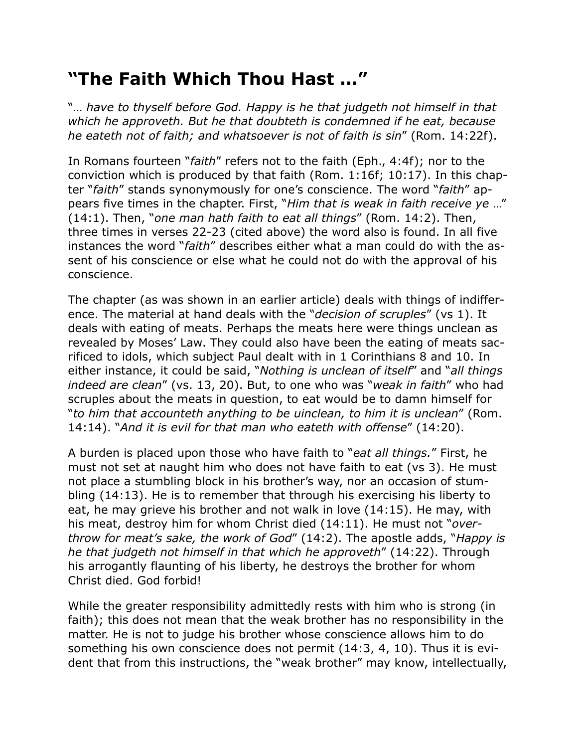## **"The Faith Which Thou Hast …"**

"… *have to thyself before God. Happy is he that judgeth not himself in that which he approveth. But he that doubteth is condemned if he eat, because he eateth not of faith; and whatsoever is not of faith is sin*" (Rom. 14:22f).

In Romans fourteen "*faith*" refers not to the faith (Eph., 4:4f); nor to the conviction which is produced by that faith (Rom. 1:16f; 10:17). In this chapter "*faith*" stands synonymously for one's conscience. The word "*faith*" appears five times in the chapter. First, "*Him that is weak in faith receive ye* …" (14:1). Then, "*one man hath faith to eat all things*" (Rom. 14:2). Then, three times in verses 22-23 (cited above) the word also is found. In all five instances the word "*faith*" describes either what a man could do with the assent of his conscience or else what he could not do with the approval of his conscience.

The chapter (as was shown in an earlier article) deals with things of indifference. The material at hand deals with the "*decision of scruples*" (vs 1). It deals with eating of meats. Perhaps the meats here were things unclean as revealed by Moses' Law. They could also have been the eating of meats sacrificed to idols, which subject Paul dealt with in 1 Corinthians 8 and 10. In either instance, it could be said, "*Nothing is unclean of itself*" and "*all things indeed are clean*" (vs. 13, 20). But, to one who was "*weak in faith*" who had scruples about the meats in question, to eat would be to damn himself for "*to him that accounteth anything to be uinclean, to him it is unclean*" (Rom. 14:14). "*And it is evil for that man who eateth with offense*" (14:20).

A burden is placed upon those who have faith to "*eat all things.*" First, he must not set at naught him who does not have faith to eat (vs 3). He must not place a stumbling block in his brother's way, nor an occasion of stumbling (14:13). He is to remember that through his exercising his liberty to eat, he may grieve his brother and not walk in love (14:15). He may, with his meat, destroy him for whom Christ died (14:11). He must not "*overthrow for meat's sake, the work of God*" (14:2). The apostle adds, "*Happy is he that judgeth not himself in that which he approveth*" (14:22). Through his arrogantly flaunting of his liberty, he destroys the brother for whom Christ died. God forbid!

While the greater responsibility admittedly rests with him who is strong (in faith); this does not mean that the weak brother has no responsibility in the matter. He is not to judge his brother whose conscience allows him to do something his own conscience does not permit (14:3, 4, 10). Thus it is evident that from this instructions, the "weak brother" may know, intellectually,